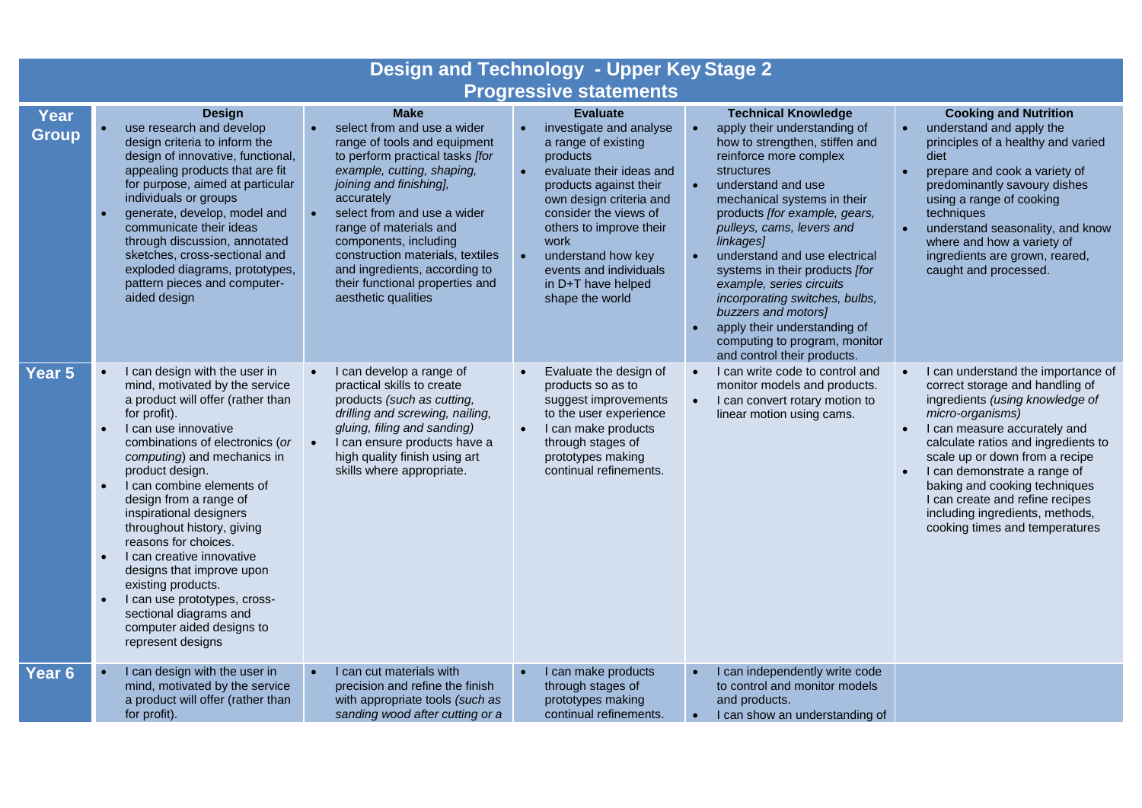| <b>Design and Technology - Upper Key Stage 2</b> |                                                                                                                                                                                                                                                                                                                                                                                                                                                                                                                                                                                                 |                                                                                                                                                                                                                                                                                                                                                                                                       |                                                                                                                                                                                                                                                                                                                                               |                                                                                                                                                                                                                                                                                                                                                                                                                                                                                                                              |                                                                                                                                                                                                                                                                                                                                                                                                                                                       |
|--------------------------------------------------|-------------------------------------------------------------------------------------------------------------------------------------------------------------------------------------------------------------------------------------------------------------------------------------------------------------------------------------------------------------------------------------------------------------------------------------------------------------------------------------------------------------------------------------------------------------------------------------------------|-------------------------------------------------------------------------------------------------------------------------------------------------------------------------------------------------------------------------------------------------------------------------------------------------------------------------------------------------------------------------------------------------------|-----------------------------------------------------------------------------------------------------------------------------------------------------------------------------------------------------------------------------------------------------------------------------------------------------------------------------------------------|------------------------------------------------------------------------------------------------------------------------------------------------------------------------------------------------------------------------------------------------------------------------------------------------------------------------------------------------------------------------------------------------------------------------------------------------------------------------------------------------------------------------------|-------------------------------------------------------------------------------------------------------------------------------------------------------------------------------------------------------------------------------------------------------------------------------------------------------------------------------------------------------------------------------------------------------------------------------------------------------|
| <b>Progressive statements</b>                    |                                                                                                                                                                                                                                                                                                                                                                                                                                                                                                                                                                                                 |                                                                                                                                                                                                                                                                                                                                                                                                       |                                                                                                                                                                                                                                                                                                                                               |                                                                                                                                                                                                                                                                                                                                                                                                                                                                                                                              |                                                                                                                                                                                                                                                                                                                                                                                                                                                       |
| Year<br><b>Group</b>                             | <b>Design</b><br>use research and develop<br>design criteria to inform the<br>design of innovative, functional,<br>appealing products that are fit<br>for purpose, aimed at particular<br>individuals or groups<br>generate, develop, model and<br>communicate their ideas<br>through discussion, annotated<br>sketches, cross-sectional and<br>exploded diagrams, prototypes,<br>pattern pieces and computer-<br>aided design                                                                                                                                                                  | <b>Make</b><br>select from and use a wider<br>range of tools and equipment<br>to perform practical tasks [for<br>example, cutting, shaping,<br>joining and finishing],<br>accurately<br>select from and use a wider<br>range of materials and<br>components, including<br>construction materials, textiles<br>and ingredients, according to<br>their functional properties and<br>aesthetic qualities | <b>Evaluate</b><br>investigate and analyse<br>a range of existing<br>products<br>evaluate their ideas and<br>$\bullet$<br>products against their<br>own design criteria and<br>consider the views of<br>others to improve their<br>work<br>understand how key<br>$\bullet$<br>events and individuals<br>in D+T have helped<br>shape the world | <b>Technical Knowledge</b><br>apply their understanding of<br>how to strengthen, stiffen and<br>reinforce more complex<br>structures<br>understand and use<br>mechanical systems in their<br>products [for example, gears,<br>pulleys, cams, levers and<br>linkages]<br>understand and use electrical<br>systems in their products [for<br>example, series circuits<br>incorporating switches, bulbs,<br>buzzers and motors]<br>apply their understanding of<br>computing to program, monitor<br>and control their products. | <b>Cooking and Nutrition</b><br>understand and apply the<br>$\bullet$<br>principles of a healthy and varied<br>diet<br>prepare and cook a variety of<br>$\bullet$<br>predominantly savoury dishes<br>using a range of cooking<br>techniques<br>understand seasonality, and know<br>$\bullet$<br>where and how a variety of<br>ingredients are grown, reared,<br>caught and processed.                                                                 |
| Year 5                                           | I can design with the user in<br>mind, motivated by the service<br>a product will offer (rather than<br>for profit).<br>I can use innovative<br>$\bullet$<br>combinations of electronics (or<br>computing) and mechanics in<br>product design.<br>I can combine elements of<br>design from a range of<br>inspirational designers<br>throughout history, giving<br>reasons for choices.<br>I can creative innovative<br>designs that improve upon<br>existing products.<br>I can use prototypes, cross-<br>$\bullet$<br>sectional diagrams and<br>computer aided designs to<br>represent designs | I can develop a range of<br>practical skills to create<br>products (such as cutting,<br>drilling and screwing, nailing,<br>gluing, filing and sanding)<br>I can ensure products have a<br>high quality finish using art<br>skills where appropriate.                                                                                                                                                  | Evaluate the design of<br>products so as to<br>suggest improvements<br>to the user experience<br>I can make products<br>$\bullet$<br>through stages of<br>prototypes making<br>continual refinements.                                                                                                                                         | I can write code to control and<br>monitor models and products.<br>I can convert rotary motion to<br>linear motion using cams.                                                                                                                                                                                                                                                                                                                                                                                               | I can understand the importance of<br>$\bullet$<br>correct storage and handling of<br>ingredients (using knowledge of<br>micro-organisms)<br>I can measure accurately and<br>$\bullet$<br>calculate ratios and ingredients to<br>scale up or down from a recipe<br>I can demonstrate a range of<br>$\bullet$<br>baking and cooking techniques<br>I can create and refine recipes<br>including ingredients, methods,<br>cooking times and temperatures |
| Year <sub>6</sub>                                | I can design with the user in<br>mind, motivated by the service<br>a product will offer (rather than<br>for profit).                                                                                                                                                                                                                                                                                                                                                                                                                                                                            | I can cut materials with<br>precision and refine the finish<br>with appropriate tools (such as<br>sanding wood after cutting or a                                                                                                                                                                                                                                                                     | I can make products<br>through stages of<br>prototypes making<br>continual refinements.                                                                                                                                                                                                                                                       | I can independently write code<br>to control and monitor models<br>and products.<br>I can show an understanding of<br>$\bullet$                                                                                                                                                                                                                                                                                                                                                                                              |                                                                                                                                                                                                                                                                                                                                                                                                                                                       |